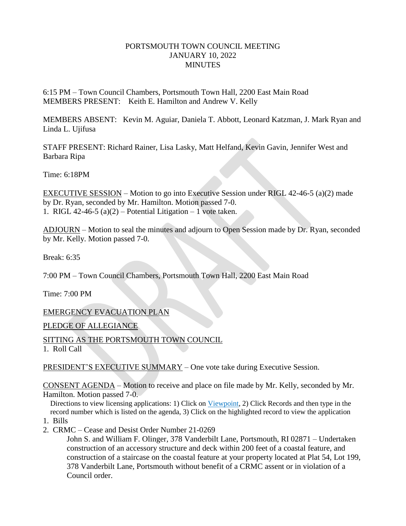### PORTSMOUTH TOWN COUNCIL MEETING JANUARY 10, 2022 **MINUTES**

6:15 PM – Town Council Chambers, Portsmouth Town Hall, 2200 East Main Road MEMBERS PRESENT: Keith E. Hamilton and Andrew V. Kelly

MEMBERS ABSENT: Kevin M. Aguiar, Daniela T. Abbott, Leonard Katzman, J. Mark Ryan and Linda L. Ujifusa

STAFF PRESENT: Richard Rainer, Lisa Lasky, Matt Helfand, Kevin Gavin, Jennifer West and Barbara Ripa

Time: 6:18PM

EXECUTIVE SESSION – Motion to go into Executive Session under RIGL 42-46-5 (a)(2) made by Dr. Ryan, seconded by Mr. Hamilton. Motion passed 7-0. 1. RIGL 42-46-5 (a)(2) – Potential Litigation – 1 vote taken.

ADJOURN – Motion to seal the minutes and adjourn to Open Session made by Dr. Ryan, seconded by Mr. Kelly. Motion passed 7-0.

Break: 6:35

7:00 PM – Town Council Chambers, Portsmouth Town Hall, 2200 East Main Road

Time: 7:00 PM

EMERGENCY EVACUATION PLAN

PLEDGE OF ALLEGIANCE

SITTING AS THE PORTSMOUTH TOWN COUNCIL

1. Roll Call

PRESIDENT'S EXECUTIVE SUMMARY – One vote take during Executive Session.

CONSENT AGENDA – Motion to receive and place on file made by Mr. Kelly, seconded by Mr. Hamilton. Motion passed 7-0.

 Directions to view licensing applications: 1) Click on Viewpoint, 2) Click Records and then type in the record number which is listed on the agenda, 3) Click on the highlighted record to view the application

- 1. Bills
- 2. CRMC Cease and Desist Order Number 21-0269

John S. and William F. Olinger, 378 Vanderbilt Lane, Portsmouth, RI 02871 – Undertaken construction of an accessory structure and deck within 200 feet of a coastal feature, and construction of a staircase on the coastal feature at your property located at Plat 54, Lot 199, 378 Vanderbilt Lane, Portsmouth without benefit of a CRMC assent or in violation of a Council order.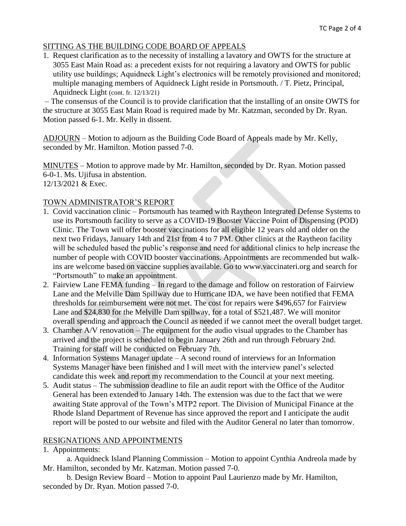# SITTING AS THE BUILDING CODE BOARD OF APPEALS

1. Request clarification as to the necessity of installing a lavatory and OWTS for the structure at 3055 East Main Road as: a precedent exists for not requiring a lavatory and OWTS for public utility use buildings; Aquidneck Light's electronics will be remotely provisioned and monitored; multiple managing members of Aquidneck Light reside in Portsmouth. / T. Pietz, Principal, Aquidneck Light (cont. fr. 12/13/21)

– The consensus of the Council is to provide clarification that the installing of an onsite OWTS for the structure at 3055 East Main Road is required made by Mr. Katzman, seconded by Dr. Ryan. Motion passed 6-1. Mr. Kelly in dissent.

ADJOURN – Motion to adjourn as the Building Code Board of Appeals made by Mr. Kelly, seconded by Mr. Hamilton. Motion passed 7-0.

MINUTES – Motion to approve made by Mr. Hamilton, seconded by Dr. Ryan. Motion passed 6-0-1. Ms. Ujifusa in abstention. 12/13/2021 & Exec.

# TOWN ADMINISTRATOR'S REPORT

- 1. Covid vaccination clinic Portsmouth has teamed with Raytheon Integrated Defense Systems to use its Portsmouth facility to serve as a COVID-19 Booster Vaccine Point of Dispensing (POD) Clinic. The Town will offer booster vaccinations for all eligible 12 years old and older on the next two Fridays, January 14th and 21st from 4 to 7 PM. Other clinics at the Raytheon facility will be scheduled based the public's response and need for additional clinics to help increase the number of people with COVID booster vaccinations. Appointments are recommended but walk ins are welcome based on vaccine supplies available. Go to www.vaccinateri.org and search for "Portsmouth" to make an appointment.
- 2. Fairview Lane FEMA funding In regard to the damage and follow on restoration of Fairview Lane and the Melville Dam Spillway due to Hurricane IDA, we have been notified that FEMA thresholds for reimbursement were not met. The cost for repairs were \$496,657 for Fairview Lane and \$24,830 for the Melville Dam spillway, for a total of \$521,487. We will monitor overall spending and approach the Council as needed if we cannot meet the overall budget target.
- 3. Chamber A/V renovation The equipment for the audio visual upgrades to the Chamber has arrived and the project is scheduled to begin January 26th and run through February 2nd. Training for staff will be conducted on February 7th.
- 4. Information Systems Manager update A second round of interviews for an Information Systems Manager have been finished and I will meet with the interview panel's selected candidate this week and report my recommendation to the Council at your next meeting.
- 5. Audit status The submission deadline to file an audit report with the Office of the Auditor General has been extended to January 14th. The extension was due to the fact that we were awaiting State approval of the Town's MTP2 report. The Division of Municipal Finance at the Rhode Island Department of Revenue has since approved the report and I anticipate the audit report will be posted to our website and filed with the Auditor General no later than tomorrow.

# RESIGNATIONS AND APPOINTMENTS

1. Appointments:

a. Aquidneck Island Planning Commission – Motion to appoint Cynthia Andreola made by Mr. Hamilton, seconded by Mr. Katzman. Motion passed 7-0.

b. Design Review Board – Motion to appoint Paul Laurienzo made by Mr. Hamilton, seconded by Dr. Ryan. Motion passed 7-0.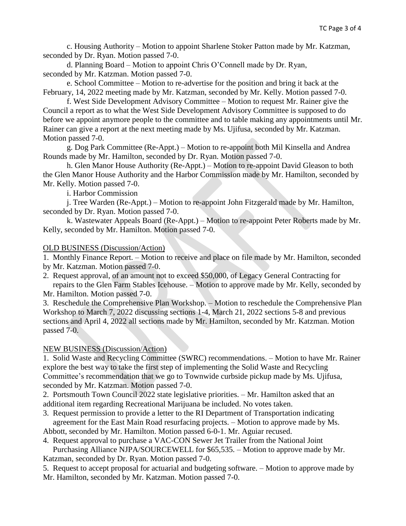c. Housing Authority – Motion to appoint Sharlene Stoker Patton made by Mr. Katzman, seconded by Dr. Ryan. Motion passed 7-0.

d. Planning Board – Motion to appoint Chris O'Connell made by Dr. Ryan, seconded by Mr. Katzman. Motion passed 7-0.

e. School Committee – Motion to re-advertise for the position and bring it back at the February, 14, 2022 meeting made by Mr. Katzman, seconded by Mr. Kelly. Motion passed 7-0.

f. West Side Development Advisory Committee – Motion to request Mr. Rainer give the Council a report as to what the West Side Development Advisory Committee is supposed to do before we appoint anymore people to the committee and to table making any appointments until Mr. Rainer can give a report at the next meeting made by Ms. Ujifusa, seconded by Mr. Katzman. Motion passed 7-0.

g. Dog Park Committee (Re-Appt.) – Motion to re-appoint both Mil Kinsella and Andrea Rounds made by Mr. Hamilton, seconded by Dr. Ryan. Motion passed 7-0.

h. Glen Manor House Authority (Re-Appt.) – Motion to re-appoint David Gleason to both the Glen Manor House Authority and the Harbor Commission made by Mr. Hamilton, seconded by Mr. Kelly. Motion passed 7-0.

i. Harbor Commission

j. Tree Warden (Re-Appt.) – Motion to re-appoint John Fitzgerald made by Mr. Hamilton, seconded by Dr. Ryan. Motion passed 7-0.

k. Wastewater Appeals Board (Re-Appt.) – Motion to re-appoint Peter Roberts made by Mr. Kelly, seconded by Mr. Hamilton. Motion passed 7-0.

#### OLD BUSINESS (Discussion/Action)

1. Monthly Finance Report. – Motion to receive and place on file made by Mr. Hamilton, seconded by Mr. Katzman. Motion passed 7-0.

2. Request approval, of an amount not to exceed \$50,000, of Legacy General Contracting for repairs to the Glen Farm Stables Icehouse. – Motion to approve made by Mr. Kelly, seconded by Mr. Hamilton. Motion passed 7-0.

3. Reschedule the Comprehensive Plan Workshop. – Motion to reschedule the Comprehensive Plan Workshop to March 7, 2022 discussing sections 1-4, March 21, 2022 sections 5-8 and previous sections and April 4, 2022 all sections made by Mr. Hamilton, seconded by Mr. Katzman. Motion passed 7-0.

#### NEW BUSINESS (Discussion/Action)

1. Solid Waste and Recycling Committee (SWRC) recommendations. – Motion to have Mr. Rainer explore the best way to take the first step of implementing the Solid Waste and Recycling Committee's recommendation that we go to Townwide curbside pickup made by Ms. Ujifusa, seconded by Mr. Katzman. Motion passed 7-0.

2. Portsmouth Town Council 2022 state legislative priorities. – Mr. Hamilton asked that an additional item regarding Recreational Marijuana be included. No votes taken.

3. Request permission to provide a letter to the RI Department of Transportation indicating agreement for the East Main Road resurfacing projects. – Motion to approve made by Ms.

Abbott, seconded by Mr. Hamilton. Motion passed 6-0-1. Mr. Aguiar recused.

4. Request approval to purchase a VAC-CON Sewer Jet Trailer from the National Joint Purchasing Alliance NJPA/SOURCEWELL for \$65,535. – Motion to approve made by Mr. Katzman, seconded by Dr. Ryan. Motion passed 7-0.

5. Request to accept proposal for actuarial and budgeting software. – Motion to approve made by Mr. Hamilton, seconded by Mr. Katzman. Motion passed 7-0.